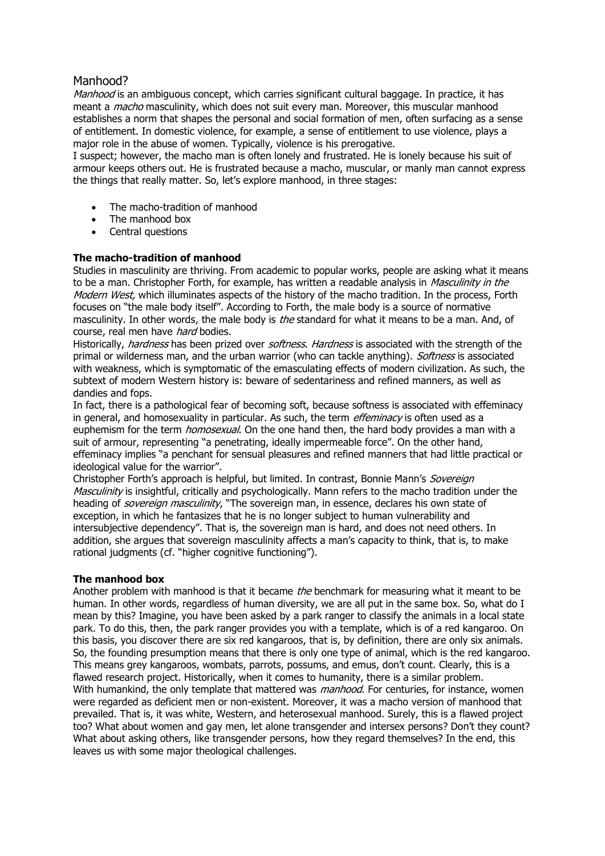# Manhood?

Manhood is an ambiguous concept, which carries significant cultural baggage. In practice, it has meant a *macho* masculinity, which does not suit every man. Moreover, this muscular manhood establishes a norm that shapes the personal and social formation of men, often surfacing as a sense of entitlement. In domestic violence, for example, a sense of entitlement to use violence, plays a major role in the abuse of women. Typically, violence is his prerogative.

I suspect; however, the macho man is often lonely and frustrated. He is lonely because his suit of armour keeps others out. He is frustrated because a macho, muscular, or manly man cannot express the things that really matter. So, let's explore manhood, in three stages:

- The macho-tradition of manhood
- The manhood box
- Central questions

## **The macho-tradition of manhood**

Studies in masculinity are thriving. From academic to popular works, people are asking what it means to be a man. Christopher Forth, for example, has written a readable analysis in Masculinity in the Modern West, which illuminates aspects of the history of the macho tradition. In the process, Forth focuses on "the male body itself". According to Forth, the male body is a source of normative masculinity. In other words, the male body is *the* standard for what it means to be a man. And, of course, real men have hard bodies.

Historically, *hardness* has been prized over *softness. Hardness* is associated with the strength of the primal or wilderness man, and the urban warrior (who can tackle anything). Softness is associated with weakness, which is symptomatic of the emasculating effects of modern civilization. As such, the subtext of modern Western history is: beware of sedentariness and refined manners, as well as dandies and fops.

In fact, there is a pathological fear of becoming soft, because softness is associated with effeminacy in general, and homosexuality in particular. As such, the term *effeminacy* is often used as a euphemism for the term *homosexual*. On the one hand then, the hard body provides a man with a suit of armour, representing "a penetrating, ideally impermeable force". On the other hand, effeminacy implies "a penchant for sensual pleasures and refined manners that had little practical or ideological value for the warrior".

Christopher Forth's approach is helpful, but limited. In contrast, Bonnie Mann's Sovereign Masculinity is insightful, critically and psychologically. Mann refers to the macho tradition under the heading of *sovereign masculinity*, "The sovereign man, in essence, declares his own state of exception, in which he fantasizes that he is no longer subject to human vulnerability and intersubjective dependency". That is, the sovereign man is hard, and does not need others. In addition, she argues that sovereign masculinity affects a man's capacity to think, that is, to make rational judgments (cf. "higher cognitive functioning").

### **The manhood box**

Another problem with manhood is that it became the benchmark for measuring what it meant to be human. In other words, regardless of human diversity, we are all put in the same box. So, what do I mean by this? Imagine, you have been asked by a park ranger to classify the animals in a local state park. To do this, then, the park ranger provides you with a template, which is of a red kangaroo. On this basis, you discover there are six red kangaroos, that is, by definition, there are only six animals. So, the founding presumption means that there is only one type of animal, which is the red kangaroo. This means grey kangaroos, wombats, parrots, possums, and emus, don't count. Clearly, this is a flawed research project. Historically, when it comes to humanity, there is a similar problem. With humankind, the only template that mattered was *manhood*. For centuries, for instance, women were regarded as deficient men or non-existent. Moreover, it was a macho version of manhood that prevailed. That is, it was white, Western, and heterosexual manhood. Surely, this is a flawed project too? What about women and gay men, let alone transgender and intersex persons? Don't they count? What about asking others, like transgender persons, how they regard themselves? In the end, this leaves us with some major theological challenges.